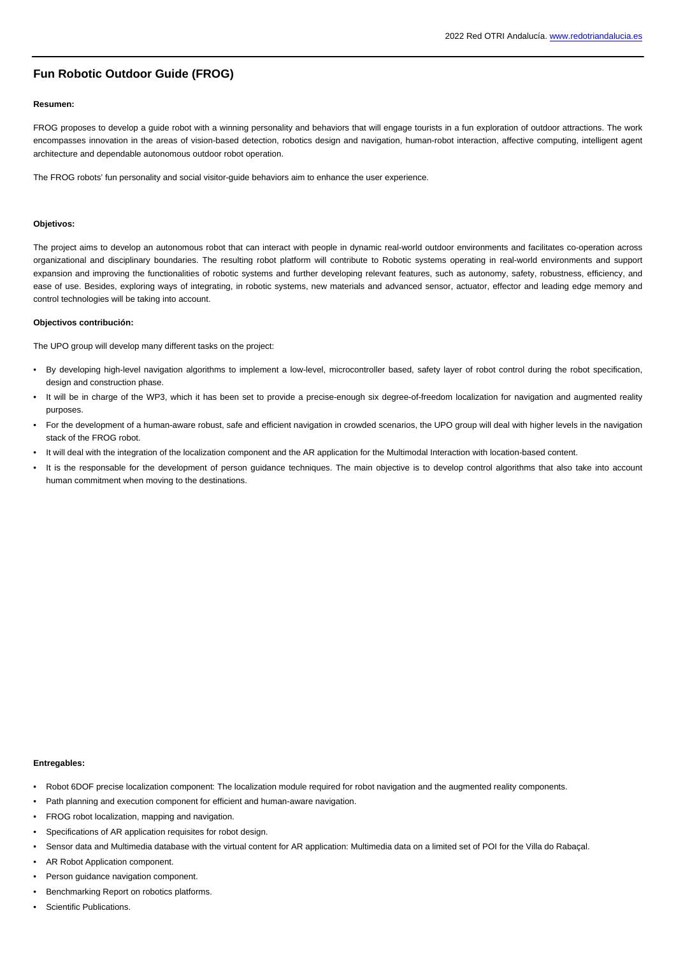# **Fun Robotic Outdoor Guide (FROG)**

### **Resumen:**

FROG proposes to develop a guide robot with a winning personality and behaviors that will engage tourists in a fun exploration of outdoor attractions. The work encompasses innovation in the areas of vision-based detection, robotics design and navigation, human-robot interaction, affective computing, intelligent agent architecture and dependable autonomous outdoor robot operation.

The FROG robots' fun personality and social visitor-guide behaviors aim to enhance the user experience.

## **Objetivos:**

The project aims to develop an autonomous robot that can interact with people in dynamic real-world outdoor environments and facilitates co-operation across organizational and disciplinary boundaries. The resulting robot platform will contribute to Robotic systems operating in real-world environments and support expansion and improving the functionalities of robotic systems and further developing relevant features, such as autonomy, safety, robustness, efficiency, and ease of use. Besides, exploring ways of integrating, in robotic systems, new materials and advanced sensor, actuator, effector and leading edge memory and control technologies will be taking into account.

#### **Objectivos contribución:**

The UPO group will develop many different tasks on the project:

- By developing high-level navigation algorithms to implement a low-level, microcontroller based, safety layer of robot control during the robot specification, design and construction phase.
- It will be in charge of the WP3, which it has been set to provide a precise-enough six degree-of-freedom localization for navigation and augmented reality purposes.
- For the development of a human-aware robust, safe and efficient navigation in crowded scenarios, the UPO group will deal with higher levels in the navigation stack of the FROG robot.
- It will deal with the integration of the localization component and the AR application for the Multimodal Interaction with location-based content.
- It is the responsable for the development of person guidance techniques. The main objective is to develop control algorithms that also take into account human commitment when moving to the destinations.

### **Entregables:**

- Robot 6DOF precise localization component: The localization module required for robot navigation and the augmented reality components.
- Path planning and execution component for efficient and human-aware navigation.
- FROG robot localization, mapping and navigation.
- Specifications of AR application requisites for robot design.
- Sensor data and Multimedia database with the virtual content for AR application: Multimedia data on a limited set of POI for the Villa do Rabaçal.
- AR Robot Application component.
- Person guidance navigation component.
- Benchmarking Report on robotics platforms.
- Scientific Publications.